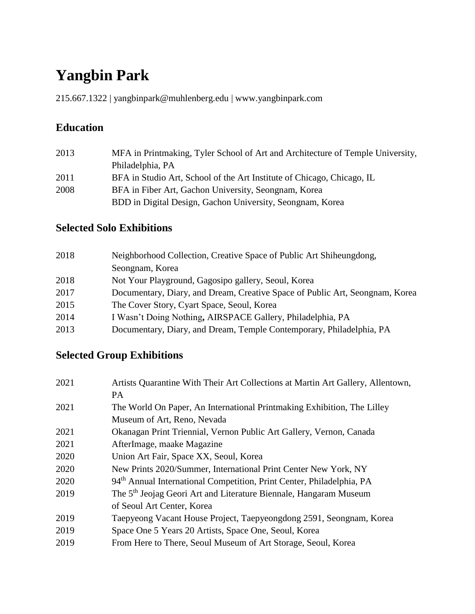# **Yangbin Park**

215.667.1322 | yangbinpark@muhlenberg.edu | www.yangbinpark.com

## **Education**

| 2013 | MFA in Printmaking, Tyler School of Art and Architecture of Temple University, |
|------|--------------------------------------------------------------------------------|
|      | Philadelphia, PA                                                               |
| 2011 | BFA in Studio Art, School of the Art Institute of Chicago, Chicago, IL         |
| 2008 | BFA in Fiber Art, Gachon University, Seongnam, Korea                           |
|      | BDD in Digital Design, Gachon University, Seongnam, Korea                      |

#### **Selected Solo Exhibitions**

| 2018 | Neighborhood Collection, Creative Space of Public Art Shiheungdong,          |
|------|------------------------------------------------------------------------------|
|      | Seongnam, Korea                                                              |
| 2018 | Not Your Playground, Gagosipo gallery, Seoul, Korea                          |
| 2017 | Documentary, Diary, and Dream, Creative Space of Public Art, Seongnam, Korea |
| 2015 | The Cover Story, Cyart Space, Seoul, Korea                                   |
| 2014 | I Wasn't Doing Nothing, AIRSPACE Gallery, Philadelphia, PA                   |
| 2013 | Documentary, Diary, and Dream, Temple Contemporary, Philadelphia, PA         |

## **Selected Group Exhibitions**

| 2021 | Artists Quarantine With Their Art Collections at Martin Art Gallery, Allentown,   |
|------|-----------------------------------------------------------------------------------|
|      | <b>PA</b>                                                                         |
| 2021 | The World On Paper, An International Printmaking Exhibition, The Lilley           |
|      | Museum of Art, Reno, Nevada                                                       |
| 2021 | Okanagan Print Triennial, Vernon Public Art Gallery, Vernon, Canada               |
| 2021 | AfterImage, maake Magazine                                                        |
| 2020 | Union Art Fair, Space XX, Seoul, Korea                                            |
| 2020 | New Prints 2020/Summer, International Print Center New York, NY                   |
| 2020 | 94 <sup>th</sup> Annual International Competition, Print Center, Philadelphia, PA |
| 2019 | The 5 <sup>th</sup> Jeojag Geori Art and Literature Biennale, Hangaram Museum     |
|      | of Seoul Art Center, Korea                                                        |
| 2019 | Taepyeong Vacant House Project, Taepyeongdong 2591, Seongnam, Korea               |
| 2019 | Space One 5 Years 20 Artists, Space One, Seoul, Korea                             |
| 2019 | From Here to There, Seoul Museum of Art Storage, Seoul, Korea                     |
|      |                                                                                   |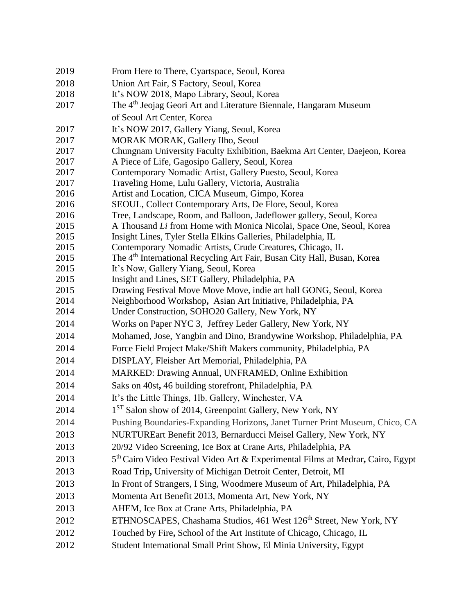| 2019         | From Here to There, Cyartspace, Seoul, Korea                                                                           |
|--------------|------------------------------------------------------------------------------------------------------------------------|
| 2018         | Union Art Fair, S Factory, Seoul, Korea                                                                                |
| 2018         | It's NOW 2018, Mapo Library, Seoul, Korea                                                                              |
| 2017         | The 4 <sup>th</sup> Jeojag Geori Art and Literature Biennale, Hangaram Museum                                          |
|              | of Seoul Art Center, Korea                                                                                             |
| 2017         | It's NOW 2017, Gallery Yiang, Seoul, Korea                                                                             |
| 2017         | MORAK MORAK, Gallery Ilho, Seoul                                                                                       |
| 2017         | Chungnam University Faculty Exhibition, Baekma Art Center, Daejeon, Korea                                              |
| 2017         | A Piece of Life, Gagosipo Gallery, Seoul, Korea                                                                        |
| 2017         | Contemporary Nomadic Artist, Gallery Puesto, Seoul, Korea                                                              |
| 2017         | Traveling Home, Lulu Gallery, Victoria, Australia                                                                      |
| 2016         | Artist and Location, CICA Museum, Gimpo, Korea                                                                         |
| 2016         | SEOUL, Collect Contemporary Arts, De Flore, Seoul, Korea                                                               |
| 2016         | Tree, Landscape, Room, and Balloon, Jadeflower gallery, Seoul, Korea                                                   |
| 2015         | A Thousand Li from Home with Monica Nicolai, Space One, Seoul, Korea                                                   |
| 2015         | Insight Lines, Tyler Stella Elkins Galleries, Philadelphia, IL                                                         |
| 2015         | Contemporary Nomadic Artists, Crude Creatures, Chicago, IL                                                             |
| 2015         | The 4 <sup>th</sup> International Recycling Art Fair, Busan City Hall, Busan, Korea                                    |
| 2015<br>2015 | It's Now, Gallery Yiang, Seoul, Korea                                                                                  |
| 2015         | Insight and Lines, SET Gallery, Philadelphia, PA<br>Drawing Festival Move Move Move, indie art hall GONG, Seoul, Korea |
| 2014         | Neighborhood Workshop, Asian Art Initiative, Philadelphia, PA                                                          |
| 2014         | Under Construction, SOHO20 Gallery, New York, NY                                                                       |
| 2014         | Works on Paper NYC 3, Jeffrey Leder Gallery, New York, NY                                                              |
| 2014         | Mohamed, Jose, Yangbin and Dino, Brandywine Workshop, Philadelphia, PA                                                 |
| 2014         | Force Field Project Make/Shift Makers community, Philadelphia, PA                                                      |
| 2014         | DISPLAY, Fleisher Art Memorial, Philadelphia, PA                                                                       |
| 2014         | MARKED: Drawing Annual, UNFRAMED, Online Exhibition                                                                    |
| 2014         | Saks on 40st, 46 building storefront, Philadelphia, PA                                                                 |
| 2014         | It's the Little Things, 1lb. Gallery, Winchester, VA                                                                   |
| 2014         | 1 <sup>ST</sup> Salon show of 2014, Greenpoint Gallery, New York, NY                                                   |
| 2014         | Pushing Boundaries-Expanding Horizons, Janet Turner Print Museum, Chico, CA                                            |
| 2013         | NURTUREart Benefit 2013, Bernarducci Meisel Gallery, New York, NY                                                      |
| 2013         | 20/92 Video Screening, Ice Box at Crane Arts, Philadelphia, PA                                                         |
| 2013         | 5 <sup>th</sup> Cairo Video Festival Video Art & Experimental Films at Medrar, Cairo, Egypt                            |
| 2013         | Road Trip, University of Michigan Detroit Center, Detroit, MI                                                          |
| 2013         | In Front of Strangers, I Sing, Woodmere Museum of Art, Philadelphia, PA                                                |
| 2013         | Momenta Art Benefit 2013, Momenta Art, New York, NY                                                                    |
| 2013         | AHEM, Ice Box at Crane Arts, Philadelphia, PA                                                                          |
| 2012         | ETHNOSCAPES, Chashama Studios, 461 West 126 <sup>th</sup> Street, New York, NY                                         |
| 2012         | Touched by Fire, School of the Art Institute of Chicago, Chicago, IL                                                   |
| 2012         | Student International Small Print Show, El Minia University, Egypt                                                     |
|              |                                                                                                                        |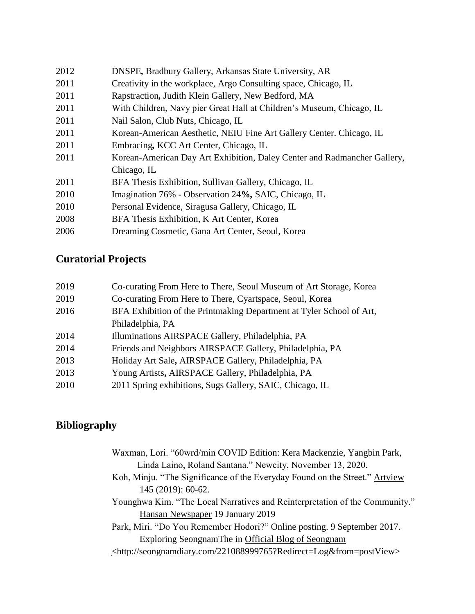| 2012 | DNSPE, Bradbury Gallery, Arkansas State University, AR                   |
|------|--------------------------------------------------------------------------|
| 2011 | Creativity in the workplace, Argo Consulting space, Chicago, IL          |
| 2011 | Rapstraction, Judith Klein Gallery, New Bedford, MA                      |
| 2011 | With Children, Navy pier Great Hall at Children's Museum, Chicago, IL    |
| 2011 | Nail Salon, Club Nuts, Chicago, IL                                       |
| 2011 | Korean-American Aesthetic, NEIU Fine Art Gallery Center. Chicago, IL     |
| 2011 | Embracing, KCC Art Center, Chicago, IL                                   |
| 2011 | Korean-American Day Art Exhibition, Daley Center and Radmancher Gallery, |
|      | Chicago, IL                                                              |
| 2011 | BFA Thesis Exhibition, Sullivan Gallery, Chicago, IL                     |
| 2010 | Imagination 76% - Observation 24%, SAIC, Chicago, IL                     |
| 2010 | Personal Evidence, Siragusa Gallery, Chicago, IL                         |
| 2008 | BFA Thesis Exhibition, K Art Center, Korea                               |
| 2006 | Dreaming Cosmetic, Gana Art Center, Seoul, Korea                         |
|      |                                                                          |

# **Curatorial Projects**

| 2019 | Co-curating From Here to There, Seoul Museum of Art Storage, Korea   |
|------|----------------------------------------------------------------------|
| 2019 | Co-curating From Here to There, Cyartspace, Seoul, Korea             |
| 2016 | BFA Exhibition of the Printmaking Department at Tyler School of Art, |
|      | Philadelphia, PA                                                     |
| 2014 | Illuminations AIRSPACE Gallery, Philadelphia, PA                     |
| 2014 | Friends and Neighbors AIRSPACE Gallery, Philadelphia, PA             |
| 2013 | Holiday Art Sale, AIRSPACE Gallery, Philadelphia, PA                 |
| 2013 | Young Artists, AIRSPACE Gallery, Philadelphia, PA                    |
| 2010 | 2011 Spring exhibitions, Sugs Gallery, SAIC, Chicago, IL             |

# **Bibliography**

| Waxman, Lori. "60wrd/min COVID Edition: Kera Mackenzie, Yangbin Park,              |
|------------------------------------------------------------------------------------|
| Linda Laino, Roland Santana." Newcity, November 13, 2020.                          |
| Koh, Minju. "The Significance of the Everyday Found on the Street." Artyjew        |
| 145 (2019): 60-62.                                                                 |
| Younghwa Kim. "The Local Narratives and Reinterpretation of the Community."        |
| Hansan Newspaper 19 January 2019                                                   |
| Park, Miri. "Do You Remember Hodori?" Online posting. 9 September 2017.            |
| Exploring Seongnam The in Official Blog of Seongnam                                |
| <http: 221088999765?redirect="Log&amp;from=postView" seongnamdiary.com=""></http:> |
|                                                                                    |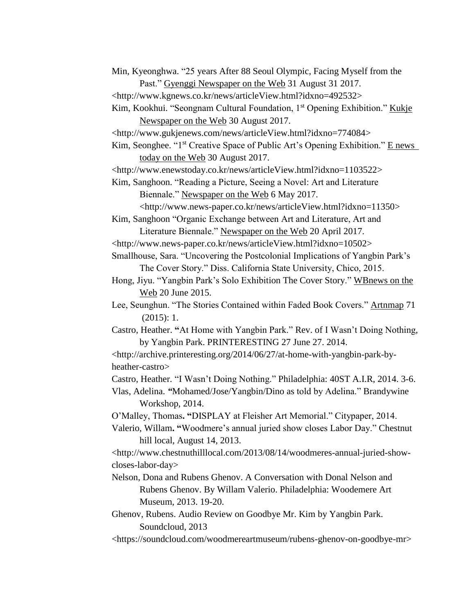- Min, Kyeonghwa. "25 years After 88 Seoul Olympic, Facing Myself from the Past." Gyenggi Newspaper on the Web 31 August 31 2017.
- <http://www.kgnews.co.kr/news/articleView.html?idxno=492532>
- Kim, Kookhui. "Seongnam Cultural Foundation, 1<sup>st</sup> Opening Exhibition." Kukje Newspaper on the Web 30 August 2017.
- <http://www.gukjenews.com/news/articleView.html?idxno=774084>

Kim, Seonghee. "1<sup>st</sup> Creative Space of Public Art's Opening Exhibition." E news today on the Web 30 August 2017.

<http://www.enewstoday.co.kr/news/articleView.html?idxno=1103522>

Kim, Sanghoon. "Reading a Picture, Seeing a Novel: Art and Literature Biennale." Newspaper on the Web 6 May 2017.

<http://www.news-paper.co.kr/news/articleView.html?idxno=11350>

Kim, Sanghoon "Organic Exchange between Art and Literature, Art and Literature Biennale." Newspaper on the Web 20 April 2017.

<http://www.news-paper.co.kr/news/articleView.html?idxno=10502>

Smallhouse, Sara. "Uncovering the Postcolonial Implications of Yangbin Park's The Cover Story." Diss. California State University, Chico, 2015.

Hong, Jiyu. "Yangbin Park's Solo Exhibition The Cover Story." WBnews on the Web 20 June 2015.

- Lee, Seunghun. "The Stories Contained within Faded Book Covers." Artnmap 71 (2015): 1.
- Castro, Heather. **"**At Home with Yangbin Park." Rev. of I Wasn't Doing Nothing, by Yangbin Park. PRINTERESTING 27 June 27. 2014.

<http://archive.printeresting.org/2014/06/27/at-home-with-yangbin-park-byheather-castro>

Castro, Heather*.* "I Wasn't Doing Nothing." Philadelphia: 40ST A.I.R, 2014. 3-6.

Vlas, Adelina. *"*Mohamed/Jose/Yangbin/Dino as told by Adelina." Brandywine Workshop, 2014.

- O'Malley, Thomas**. "**DISPLAY at Fleisher Art Memorial." Citypaper, 2014.
- Valerio, Willam**. "**Woodmere's annual juried show closes Labor Day." Chestnut hill local, August 14, 2013.

<http://www.chestnuthilllocal.com/2013/08/14/woodmeres-annual-juried-showcloses-labor-day>

Nelson, Dona and Rubens Ghenov. A Conversation with Donal Nelson and Rubens Ghenov. By Willam Valerio. Philadelphia: Woodemere Art Museum, 2013. 19-20.

Ghenov, Rubens. Audio Review on Goodbye Mr. Kim by Yangbin Park. Soundcloud, 2013

<https://soundcloud.com/woodmereartmuseum/rubens-ghenov-on-goodbye-mr>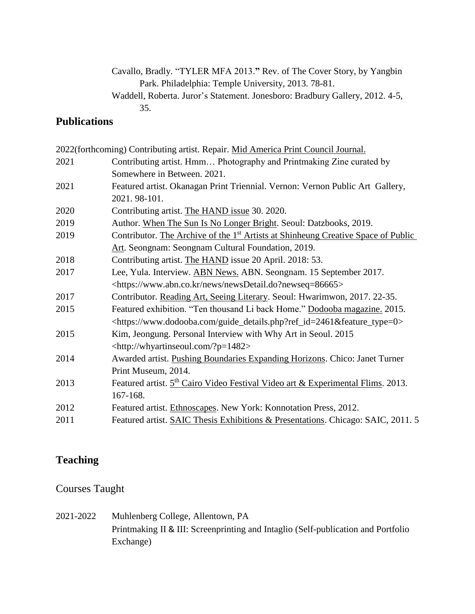#### Cavallo, Bradly. "TYLER MFA 2013.**"** Rev. of The Cover Story, by Yangbin Park. Philadelphia: Temple University, 2013. 78-81. Waddell, Roberta. Juror's Statement. Jonesboro: Bradbury Gallery, 2012. 4-5, 35.

#### **Publications**

|      | 2022(forthcoming) Contributing artist. Repair. Mid America Print Council Journal.             |
|------|-----------------------------------------------------------------------------------------------|
| 2021 | Contributing artist. Hmm Photography and Printmaking Zine curated by                          |
|      | Somewhere in Between. 2021.                                                                   |
| 2021 | Featured artist. Okanagan Print Triennial. Vernon: Vernon Public Art Gallery,                 |
|      | 2021.98-101.                                                                                  |
| 2020 | Contributing artist. The HAND issue 30. 2020.                                                 |
| 2019 | Author. When The Sun Is No Longer Bright. Seoul: Datzbooks, 2019.                             |
| 2019 | Contributor. The Archive of the 1 <sup>st</sup> Artists at Shinheung Creative Space of Public |
|      | Art. Seongnam: Seongnam Cultural Foundation, 2019.                                            |
| 2018 | Contributing artist. The HAND issue 20 April. 2018: 53.                                       |
| 2017 | Lee, Yula. Interview. ABN News. ABN. Seongnam. 15 September 2017.                             |
|      | <https: news="" newsdetail.do?newseq="86665" www.abn.co.kr=""></https:>                       |
| 2017 | Contributor. Reading Art, Seeing Literary. Seoul: Hwarimwon, 2017. 22-35.                     |
| 2015 | Featured exhibition. "Ten thousand Li back Home." Dodooba magazine. 2015.                     |
|      | <https: guide_details.php?ref_id="2461&amp;feature_type=0" www.dodooba.com=""></https:>       |
| 2015 | Kim, Jeongung. Personal Interview with Why Art in Seoul. 2015                                 |
|      | <http: ?p="1482" whyartinseoul.com=""></http:>                                                |
| 2014 | Awarded artist. Pushing Boundaries Expanding Horizons. Chico: Janet Turner                    |
|      | Print Museum, 2014.                                                                           |
| 2013 | Featured artist. 5 <sup>th</sup> Cairo Video Festival Video art & Experimental Flims. 2013.   |
|      | 167-168.                                                                                      |
| 2012 | Featured artist. Ethnoscapes. New York: Konnotation Press, 2012.                              |
| 2011 | Featured artist. SAIC Thesis Exhibitions & Presentations. Chicago: SAIC, 2011. 5              |

### **Teaching**

#### Courses Taught

2021-2022 Muhlenberg College, Allentown, PA Printmaking II & III: Screenprinting and Intaglio (Self-publication and Portfolio Exchange)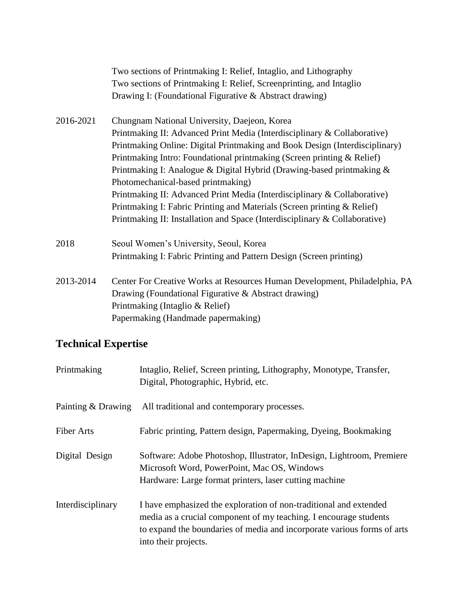|           | Two sections of Printmaking I: Relief, Intaglio, and Lithography            |
|-----------|-----------------------------------------------------------------------------|
|           | Two sections of Printmaking I: Relief, Screenprinting, and Intaglio         |
|           | Drawing I: (Foundational Figurative & Abstract drawing)                     |
| 2016-2021 | Chungnam National University, Daejeon, Korea                                |
|           | Printmaking II: Advanced Print Media (Interdisciplinary & Collaborative)    |
|           | Printmaking Online: Digital Printmaking and Book Design (Interdisciplinary) |
|           | Printmaking Intro: Foundational printmaking (Screen printing & Relief)      |
|           | Printmaking I: Analogue & Digital Hybrid (Drawing-based printmaking &       |
|           | Photomechanical-based printmaking)                                          |
|           | Printmaking II: Advanced Print Media (Interdisciplinary & Collaborative)    |
|           | Printmaking I: Fabric Printing and Materials (Screen printing & Relief)     |
|           | Printmaking II: Installation and Space (Interdisciplinary & Collaborative)  |
| 2018      | Seoul Women's University, Seoul, Korea                                      |
|           | Printmaking I: Fabric Printing and Pattern Design (Screen printing)         |
| 2013-2014 | Center For Creative Works at Resources Human Development, Philadelphia, PA  |
|           | Drawing (Foundational Figurative & Abstract drawing)                        |
|           | Printmaking (Intaglio & Relief)                                             |
|           | Papermaking (Handmade papermaking)                                          |
|           |                                                                             |

## **Technical Expertise**

| Printmaking        | Intaglio, Relief, Screen printing, Lithography, Monotype, Transfer,<br>Digital, Photographic, Hybrid, etc.                                                                                                                                |
|--------------------|-------------------------------------------------------------------------------------------------------------------------------------------------------------------------------------------------------------------------------------------|
| Painting & Drawing | All traditional and contemporary processes.                                                                                                                                                                                               |
| <b>Fiber Arts</b>  | Fabric printing, Pattern design, Papermaking, Dyeing, Bookmaking                                                                                                                                                                          |
| Digital Design     | Software: Adobe Photoshop, Illustrator, InDesign, Lightroom, Premiere<br>Microsoft Word, PowerPoint, Mac OS, Windows<br>Hardware: Large format printers, laser cutting machine                                                            |
| Interdisciplinary  | I have emphasized the exploration of non-traditional and extended<br>media as a crucial component of my teaching. I encourage students<br>to expand the boundaries of media and incorporate various forms of arts<br>into their projects. |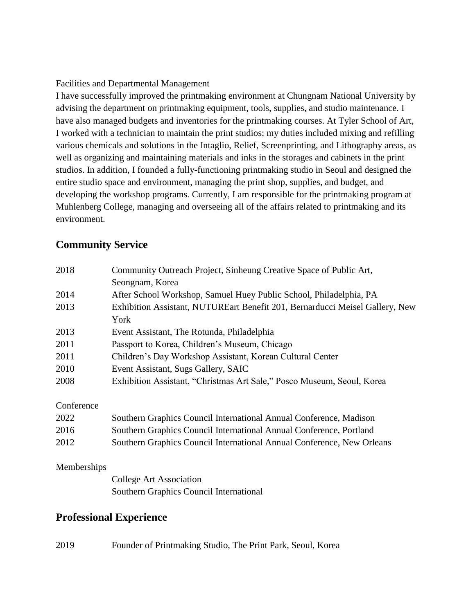Facilities and Departmental Management

I have successfully improved the printmaking environment at Chungnam National University by advising the department on printmaking equipment, tools, supplies, and studio maintenance. I have also managed budgets and inventories for the printmaking courses. At Tyler School of Art, I worked with a technician to maintain the print studios; my duties included mixing and refilling various chemicals and solutions in the Intaglio, Relief, Screenprinting, and Lithography areas, as well as organizing and maintaining materials and inks in the storages and cabinets in the print studios. In addition, I founded a fully-functioning printmaking studio in Seoul and designed the entire studio space and environment, managing the print shop, supplies, and budget, and developing the workshop programs. Currently, I am responsible for the printmaking program at Muhlenberg College, managing and overseeing all of the affairs related to printmaking and its environment.

#### **Community Service**

| Community Outreach Project, Sinheung Creative Space of Public Art,           |
|------------------------------------------------------------------------------|
| Seongnam, Korea                                                              |
| After School Workshop, Samuel Huey Public School, Philadelphia, PA           |
| Exhibition Assistant, NUTUREart Benefit 201, Bernarducci Meisel Gallery, New |
| York                                                                         |
| Event Assistant, The Rotunda, Philadelphia                                   |
| Passport to Korea, Children's Museum, Chicago                                |
| Children's Day Workshop Assistant, Korean Cultural Center                    |
| Event Assistant, Sugs Gallery, SAIC                                          |
| Exhibition Assistant, "Christmas Art Sale," Posco Museum, Seoul, Korea       |
|                                                                              |

**Conference** 

| 2022 | Southern Graphics Council International Annual Conference, Madison     |
|------|------------------------------------------------------------------------|
| 2016 | Southern Graphics Council International Annual Conference, Portland    |
| 2012 | Southern Graphics Council International Annual Conference, New Orleans |

#### Memberships

College Art Association Southern Graphics Council International

#### **Professional Experience**

2019 Founder of Printmaking Studio, The Print Park, Seoul, Korea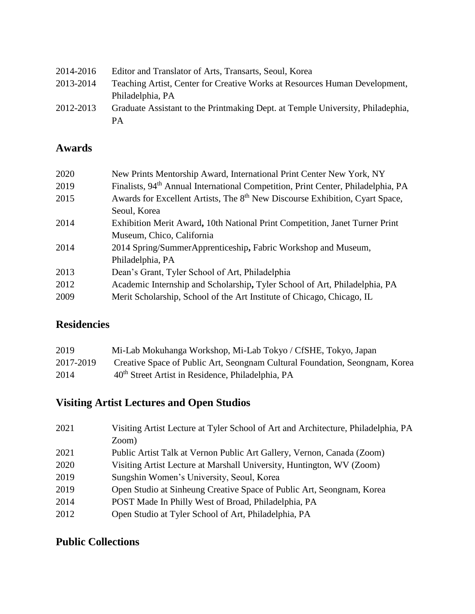| 2014-2016 | Editor and Translator of Arts, Transarts, Seoul, Korea                         |
|-----------|--------------------------------------------------------------------------------|
| 2013-2014 | Teaching Artist, Center for Creative Works at Resources Human Development,     |
|           | Philadelphia, PA                                                               |
| 2012-2013 | Graduate Assistant to the Printmaking Dept. at Temple University, Philadephia, |
|           | PА                                                                             |

#### **Awards**

| 2020 | New Prints Mentorship Award, International Print Center New York, NY                         |
|------|----------------------------------------------------------------------------------------------|
| 2019 | Finalists, 94 <sup>th</sup> Annual International Competition, Print Center, Philadelphia, PA |
| 2015 | Awards for Excellent Artists, The 8 <sup>th</sup> New Discourse Exhibition, Cyart Space,     |
|      | Seoul, Korea                                                                                 |
| 2014 | Exhibition Merit Award, 10th National Print Competition, Janet Turner Print                  |
|      | Museum, Chico, California                                                                    |
| 2014 | 2014 Spring/SummerApprenticeship, Fabric Workshop and Museum,                                |
|      | Philadelphia, PA                                                                             |
| 2013 | Dean's Grant, Tyler School of Art, Philadelphia                                              |
| 2012 | Academic Internship and Scholarship, Tyler School of Art, Philadelphia, PA                   |
| 2009 | Merit Scholarship, School of the Art Institute of Chicago, Chicago, IL                       |
|      |                                                                                              |

#### **Residencies**

| 2019      | Mi-Lab Mokuhanga Workshop, Mi-Lab Tokyo / CfSHE, Tokyo, Japan               |
|-----------|-----------------------------------------------------------------------------|
| 2017-2019 | Creative Space of Public Art, Seongnam Cultural Foundation, Seongnam, Korea |
| 2014      | 40 <sup>th</sup> Street Artist in Residence, Philadelphia, PA               |

# **Visiting Artist Lectures and Open Studios**

| 2021 | Visiting Artist Lecture at Tyler School of Art and Architecture, Philadelphia, PA |
|------|-----------------------------------------------------------------------------------|
|      | Zoom)                                                                             |
| 2021 | Public Artist Talk at Vernon Public Art Gallery, Vernon, Canada (Zoom)            |
| 2020 | Visiting Artist Lecture at Marshall University, Huntington, WV (Zoom)             |
| 2019 | Sungshin Women's University, Seoul, Korea                                         |
| 2019 | Open Studio at Sinheung Creative Space of Public Art, Seongnam, Korea             |
| 2014 | POST Made In Philly West of Broad, Philadelphia, PA                               |
| 2012 | Open Studio at Tyler School of Art, Philadelphia, PA                              |

#### **Public Collections**